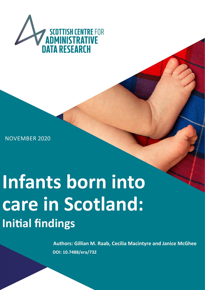

NOVEMBER 2020

# **Infants born into care in Scotland: Initial findings**

**Authors: Gillian M. Raab, Cecilia Mac DOI: 10.7488/era/732**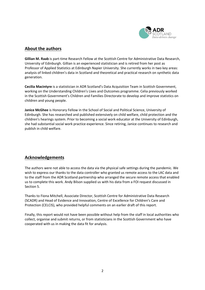

## **About the authors**

**Gillian M. Raab** is part-time Research Fellow at the Scottish Centre for Administrative Data Research, University of Edinburgh. Gillian is an experienced statistician and is retired from her post as Professor of Applied Statistics at Edinburgh Napier University. She currently works in two key areas: analysis of linked children's data in Scotland and theoretical and practical research on synthetic data generation.

**Cecilia Macintyre** is a statistician in ADR Scotland's Data Acquisition Team in Scottish Government, working on the Understanding Children's Lives and Outcomes programme. Celia previously worked in the Scottish Government's Children and Families Directorate to develop and improve statistics on children and young people.

**Janice McGhee** is Honorary Fellow in the School of Social and Political Science, University of Edinburgh. She has researched and published extensively on child welfare, child protection and the children's hearings system. Prior to becoming a social work educator at the University of Edinburgh, she had substantial social work practice experience. Since retiring, Janice continues to research and publish in child welfare.

## **Acknowledgements**

The authors were not able to access the data via the physical safe settings during the pandemic. We wish to express our thanks to the data controller who granted us remote access to the LAC data and to the staff from the ADR Scotland partnership who arranged the secure remote access that enabled us to complete this work. Andy Bilson supplied us with his data from a FOI request discussed in Section 5.

Thanks to Fiona Mitchell, Associate Director, Scottish Centre for Administrative Data Research (SCADR) and Head of Evidence and Innovation, Centre of Excellence for Children's Care and Protection (CELCIS), who provided helpful comments on an earlier draft of this report.

Finally, this report would not have been possible without help from the staff in local authorities who collect, organise and submit returns, or from statisticians in the Scottish Government who have cooperated with us in making the data fit for analysis.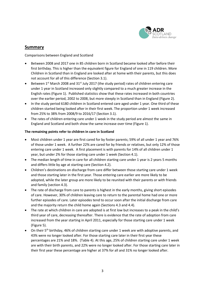

## **Summary**

Comparisons between England and Scotland

- Between 2008 and 2017 one in 85 children born in Scotland became looked after before their first birthday. This is higher than the equivalent figure for England of one in 119 children. More Children in Scotland than in England are looked after at home with their parents, but this does not account for all of this difference (Section 3.1).
- Between  $1<sup>st</sup>$  March 2008 and  $31<sup>st</sup>$  July 2017 (the study period) rates of children entering care under 1 year in Scotland increased only slightly compared to a much greater increase in the English rates (Figure 1). Published statistics show that these rates increased in both countries over the earlier period, 2002 to 2008, but more steeply in Scotland than in England (Figure 2).
- In the study period 6180 children in Scotland entered care aged under 1 year. One third of these children started being looked after in their first week. The proportion under 1 week increased from 25% to 38% from 2008/9 to 2016/17 (Section 3.1).
- The rates of children entering care under 1 week in the study period are almost the same in England and Scotland and both show the same increase over time (Figure 1).

#### **The remaining points refer to children in care in Scotland**

- Most children under 1 year are first cared for by foster parents; 59% of all under 1 year and 76% of those under 1 week. A further 22% are cared for by friends or relatives, but only 12% of those entering care under 1 week. A first placement is with parents for 14% of all children under 1 year, but under 2% for those starting care under 1 week (Section 4.1).
- The median length of time in care for all children starting care under 1 year is 2 years 5 months and differs little by age at starting care (Section 4.2).
- Children's destinations on discharge from care differ between those starting care under 1 week and those starting later in the first year. Those entering care earlier are more likely to be adopted, while the later group are more likely to be reunited with their parents or with friends and family (section 4.3).
- The rate of discharge from care to parents is highest in the early months, giving short episodes of care. However, 30% of children leaving care to return to the parental home had one or more further episodes of care. Later episodes tend to occur soon after the initial discharge from care and the majority return the child home again (Sections 4.3 and 4.4).
- The rate at which children in care are adopted is at first low but increases to a peak in the child's third year of care, decreasing thereafter. There is evidence that the rate of adoption from care increased from the year starting in April 2011, especially for those starting care under 1 week (Figure 5).
- On their 5<sup>th</sup> birthday, 46% of children starting care under 1 week are with adoptive parents, and 43% were no longer looked after. For those starting care later in their first year these percentages are 21% and 18%. (Table 4). At this age, 25% of children starting care under 1 week are with their birth parents, and 22% were no longer looked after. For those starting care later in their first year these percentage are higher at 37% for all and 31% no longer looked after.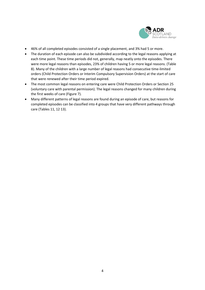

- 46% of all completed episodes consisted of a single placement, and 3% had 5 or more.
- The duration of each episode can also be subdivided according to the legal reasons applying at each time point. These time periods did not, generally, map neatly onto the episodes. There were more legal reasons than episodes, 23% of children having 5 or more legal reasons. (Table 8). Many of the children with a large number of legal reasons had consecutive time-limited orders (Child Protection Orders or Interim Compulsory Supervision Orders) at the start of care that were renewed after their time period expired.
- The most common legal reasons on entering care were Child Protection Orders or Section 25 (voluntary care with parental permission). The legal reasons changed for many children during the first weeks of care (Figure 7).
- Many different patterns of legal reasons are found during an episode of care, but reasons for completed episodes can be classified into 4 groups that have very different pathways through care (Tables 11, 12 13).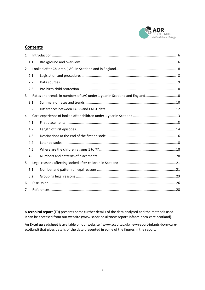

## **Contents**

| $\mathbf{1}$   |     |                                                                            |  |
|----------------|-----|----------------------------------------------------------------------------|--|
|                | 1.1 |                                                                            |  |
| $\overline{2}$ |     |                                                                            |  |
|                | 2.1 |                                                                            |  |
|                | 2.2 |                                                                            |  |
|                | 2.3 |                                                                            |  |
| 3              |     | Rates and trends in numbers of LAC under 1 year in Scotland and England 10 |  |
|                | 3.1 |                                                                            |  |
|                | 3.2 |                                                                            |  |
| 4              |     |                                                                            |  |
|                | 4.1 |                                                                            |  |
|                | 4.2 |                                                                            |  |
|                | 4.3 |                                                                            |  |
|                | 4.4 |                                                                            |  |
|                | 4.5 |                                                                            |  |
|                | 4.6 |                                                                            |  |
| 5              |     |                                                                            |  |
|                | 5.1 |                                                                            |  |
|                | 5.2 |                                                                            |  |
| 6              |     |                                                                            |  |
| 7              |     |                                                                            |  |

A **technical report (TR)** presents some further details of the data analysed and the methods used. It can be accessed from our website (www.scadr.ac.uk/new-report-infants-born-care-scotland).

An **Excel spreadsheet** is available on our website ( www.scadr.ac.uk/new-report-infants-born-carescotland) that gives details of the data presented in some of the figures in the report.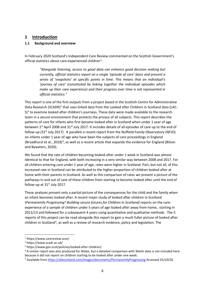## <span id="page-5-0"></span>**1 Introduction**

#### <span id="page-5-1"></span>**1.1 Background and overview**

In February 2020 Scotland's Independent Care Review commented on the Scottish Government's official statistics about care-experienced children<sup>[1](#page-5-2)</sup>:

*"Alongside listening, access to good data can enhance good decision making but currently, official statistics report on a single 'episode of care' basis and present a series of 'snapshots' at specific points in time. This means that an individual's 'journey of care' (constituted by linking together the individual episodes which make up their care experience) and their progress over time is not represented in official statistics."*

This report is one of the first outputs from a project based in the Scottish Centre for Administrative Data Research (SCADR)<sup>[2](#page-5-3)</sup> that uses linked data from the Looked after Children in Scotland data (LAC- $S$ <sup>[3](#page-5-4)</sup> to examine looked after children's journeys. These data were made available to the research team in a secure environment that protects the privacy of all subjects. This report describes the patterns of care for infants who first became looked after in Scotland when under 1 year of age between 1st April 2008 and 31st July 2017. It includes details of all episodes of care up to the end of follow-up (31<sup>st</sup> July 2017). It parallels a recent report from the Nuffield Family Observatory (NFJO) on infants under 1 year of age who have been the subjects of care proceedings in England (Broadhurst et al., 2018)<sup>4</sup>, as well as a recent article that expands the evidence for England (Bilson and Bywaters, 2020).

We found that the rate of children becoming looked-after under 1 week in Scotland was almost identical to that for England, with both increasing in a very similar way between 2008 and 2017. For all children entering care under 1 year of age, rates were higher in Scotland. Part, but not all, of this increased rate in Scotland can be attributed to the higher proportion of children looked after at home with their parents in Scotland. As well as this comparison of rates we present a picture of the pathways in and out of care of these children from starting to become looked after until the end of follow-up at  $31<sup>st</sup>$  July 2017.

These analyses present only a partial picture of the consequences for the child and the family when an infant becomes looked after. A recent major study of looked after children in Scotland (*Permanently Progressing? Building secure futures for Children in Scotland)* reports on the careexperience of a sample of children under 5 years of age looked after away from home, starting in 2012/13 and followed for a subsequent 4 years using quantitative and qualitative methods. The 5 reports of this project can be read alongside this report to gain a much fuller picture of looked after children in Scotland<sup>[5](#page-5-6)</sup>, as well as a review of research evidence, policy and legislation. The

 $\overline{a}$ 

<span id="page-5-2"></span><sup>1</sup> https://www.carereview.scot/

<span id="page-5-3"></span><sup>2</sup> https://www.scadr.ac.uk/

<span id="page-5-4"></span><sup>3</sup> https://www.gov.scot/policies/looked-after-children/

<span id="page-5-5"></span><sup>4</sup> A similar report was also produced for Wales, but a detailed comparison with Welsh data is not included here

<span id="page-5-6"></span>because it did not report on children starting to be looked after under one week.<br><sup>5</sup> Available from<https://afascotland.com/images/documents/PermanentlyProgressing> Accessed 25/10/20.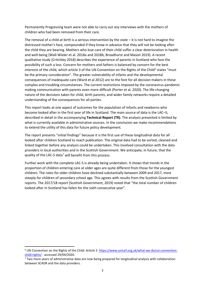Permanently Progressing team were not able to carry out any interviews with the mothers of children who had been removed from their care.

The removal of a child at birth is a serious intervention by the state  $-$  it is not hard to imagine the distressed mother's face, compounded if they know in advance that they will not be looking after the child they are bearing. Mothers who lose care of their child suffer a clear deterioration in health and well-being (Wall-Wieler et al. 2018a and 2018b, Broadhurst and Mason 2019). A recent qualitative study (Critchley 2018) describes the experience of parents in Scotland who face the possibility of such a loss. Concern for mothers and fathers is balanced by concern for the best interests of the child, which article 3 of the UN Convention on the Rights of the Child<sup>[6](#page-6-0)</sup> states "must be the primary consideration". The greater vulnerability of infants and the developmental consequences of inadequate care (Ward et al 2012) are to the fore for all decision makers in these complex and troubling circumstances. The current restrictions imposed by the coronavirus pandemic making communication with parents even more difficult (Porter et al. 2020). The life-changing nature of the decisions taken for child, birth parents, and wider family networks require a detailed understanding of the consequences for all parties.

This report looks at one aspect of outcomes for the population of infants and newborns who become looked after in the first year of life in Scotland. The main source of data is the LAC–S; described in detail in the accompanying **Technical Report (TR)**. The analysis presented is limited by what is currently available in administrative sources. In the conclusion we make recommendations to extend the utility of this data for future policy development.

The report presents "initial findings" because it is the first use of these longitudinal data for all looked after children Scotland to reach publication. The original data had to be sorted, cleaned and linked together before any analysis could be undertaken. This involved consultation with the data providers in local authorities and in the Scottish Government. We anticipate, in future, that the quality of the LAC-S data<sup>7</sup> will benefit from this process.

Further work with the complete LAC-S is already being undertaken. It shows that trends in the proportion of children entering care at older ages are quite different from those for the youngest children. The rates for older children have declined substantially between 2009 and 2017, most steeply for children of secondary school age. This agrees with results from the Scottish Government reports. The 2017/18 report (Scottish Government, 2019) noted that "the total number of children looked after in Scotland has fallen for the sixth consecutive year".

**.** 

<span id="page-6-0"></span><sup>&</sup>lt;sup>6</sup> UN Convention on the Rights of the Child: Article 3 [https://www.unicef.org.uk/what-we-do/un-convention](https://www.unicef.org.uk/what-we-do/un-convention-child-rights/)[child-rights/](https://www.unicef.org.uk/what-we-do/un-convention-child-rights/) : accessed 29/04/2020.

<span id="page-6-1"></span><sup>&</sup>lt;sup>7</sup> Two more years of administrative data are now being prepared for longitudinal analysis with collaboration between SCADR and the data providers.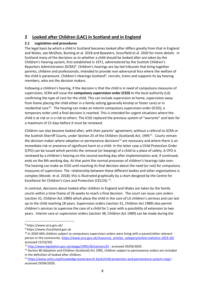## <span id="page-7-0"></span>**2 Looked after Children (LAC) in Scotland and in England**

## <span id="page-7-1"></span>**2.1 Legislation and procedures**

The legal basis by which a child in Scotland becomes looked after differs greatly from that in England and Wales, see McGhee, Bunting et al. 2018 and Bywaters, Scourfield et al. 2020 for more details. In Scotland many of the decisions as to whether a child should be looked after are taken by the Children's Hearing system, first established in 1971, administered by the Scottish Children's Reporters Administration (SCRA)<sup>[8](#page-7-2)</sup>. Children's hearings are lay-led tribunals that bring together parents, children and professionals, intended to provide non-adversarial fora where the welfare of the child is paramount. Children's Hearings Scotland<sup>[9](#page-7-3)</sup>, recruits, trains and supports its lay hearing members, who are the decision makers.

Following a children's hearing, if the decision is that the child is in need of compulsory measures of supervision, SCRA will issue the **compulsory supervision order (CSO)** to the local authority (LA) confirming the type of care for the child. This can include supervision at home, supervision away from home placing the child either in a family setting (generally kinship or foster care) or in residential care<sup>[10](#page-7-4)</sup>. The hearing can make an interim compulsory supervision order (ICSO), a temporary order until a final decision is reached. This is intended for urgent situations where the child is at risk or is a risk to others. The ICSO replaced the previous system of "warrants" and lasts for a maximum of 22 days before it must be reviewed.

Children can also become looked after, with their parents' agreement, without a referral to SCRA or the Scottish Sherriff Courts, under Section 25 of the Children (Scotland) Act, 1995<sup>[11](#page-7-5)</sup>. Courts remain the decision maker where adoption or permanence decisions<sup>[12](#page-7-6)</sup> are necessary and where there is an immediate risk or presence of significant harm to a child. In the latter case a Child Protection Order (CPO) can be issued which permits the removal (or keeping) of a child to a place of safety. A CPO is reviewed by a children's hearing on the second working day after implementation and, if continued, ends on the 8th working day. At that point the normal processes of children's hearings take over. The hearing can make an ICSO until reaching its final decision about the need (or not) for compulsory measures of supervision. The relationship between these different bodies and other organisations is complex (Woods et al. 2018); this is illustrated graphically by a chart designed by the Centre for Excellence for Children's Care and Protection (CELCIS) [13.](#page-7-7)

In contrast, decisions about looked after children In England and Wales are taken by the family courts within a time-frame of 26 weeks to reach a final decision. The court can issue care orders (section 31, Children Act 1989) which place the child in the care of LA children's services and can last up to the child reaching 18 years. Supervision orders (section 31, Children Act 1989) also permit children's services to supervise the care of a child for 1 year with a possibility of extension to two years. Interim care or supervision orders (section 38, Children Act 1989) can be made during the

 $\overline{a}$ 

<span id="page-7-2"></span><sup>8</sup> https://www.scra.gov.uk/

<span id="page-7-3"></span><sup>9</sup> https://www.chscotland.gov.uk

<span id="page-7-4"></span><sup>&</sup>lt;sup>10</sup> In 2020 46% children subject to compulsory supervision orders were living with a parent/other relevant person in the community. [https://www.scra.gov.uk/resources\\_articles\\_category/online-statistics-2019-20/](https://www.scra.gov.uk/resources_articles_category/online-statistics-2019-20/) accessed 13/10/20)

<span id="page-7-5"></span><sup>11</sup> <http://www.legislation.gov.uk/ukpga/1995/36/section/25> : accessed 29/04/2020.

<span id="page-7-6"></span><sup>&</sup>lt;sup>12</sup> Section 80 Adoption and Children (Scotland) Act 1995, children subject to permanence orders are included in the definition of looked after children.

<span id="page-7-7"></span><sup>13</sup> <https://www.celcis.org/knowledge-bank/search-bank/child-protection-and-permanence-system-map/> : accessed 29/04/2020.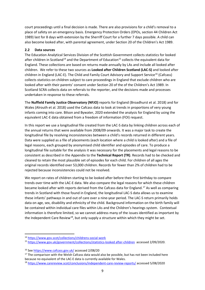court proceedings until a final decision is made. There are also provisions for a child's removal to a place of safety on an emergency basis. Emergency Protection Orders (EPOs, section 44 Children Act 1989) last for 8 days with extension by the Sherriff Court for a further 7 days possible. A child can also become looked after, with parental agreement, under Section 20 of the Children's Act 1989.

#### <span id="page-8-0"></span>**2.2 Data sources**

The Education Analytical Services Division of the Scottish Government collects statistics for looked after children in Scotland<sup>[14](#page-8-1)</sup> and the Department of Education<sup>[15](#page-8-2)</sup> collects the equivalent data for England. These collections are based on returns made annually by LAs and include all looked after children. We refer to these two sources as **Looked after Children Scotland (LAC-S)** and looked after children in England (LAC-E). The Child and Family Court Advisory and Support Service<sup>[16](#page-8-3)</sup> (Cafcass) collects statistics on children subject to care proceedings in England that exclude children who are looked after with their parents' consent under Section 20 of the of the Children's Act 1989. In Scotland SCRA collects data on referrals to the reporter, and the decisions made and processes undertaken in response to these referrals.

The **Nuffield Family Justice Observatory (NFJO)** reports for England (Broadhurst et al. 2018) and for Wales (Alrouth et al. 2018) used the Cafcass data to look at trends in proportions of very young infants coming into care. Bilson and Bywater, 2020 extended the analysis for England by using the equivalent LAC-E data obtained from a freedom of information (FOI) request.

In this report we use a longitudinal file created from the LAC-S data by linking children across each of the annual returns that were available from 2008/09 onwards. It was a major task to create the longitudinal file by resolving inconsistencies between a child's records returned in different years. Data were supplied as a file of placements (each location where a child is looked after) and a file of legal reasons, each grouped by anonymised child identifier and episodes of care. To produce a longitudinal file suitable for the analysis it was necessary for the placements and legal reasons to be consistent as described in the Appendix to the **Technical Report (TR)**. Records had to be checked and cleaned to retain the most plausible set of episodes for each child. For children of all ages the original records identified over 53,000 children. Records for fewer than 2% of children had to be rejected because inconsistencies could not be resolved.

We report on rates of children starting to be looked after before their first birthday to compare trends over time with the LAC-E data. We also compare the legal reasons for which these children became looked after with reports derived from the Cafcass data for England. [17](#page-8-4) As well as comparing trends in Scotland with those found in England, the longitudinal LAC-S data allows us to examine these infants' pathways in and out of care over a nine-year period. The LAC-S return primarily holds data on age, sex, disability and ethnicity of the child. Background information on the birth family will be contained within individual care files within LAs and the Children's hearings system. Contextual information is therefore limited, so we cannot address many of the issues identified as important by the Independent Care Review<sup>[18](#page-8-5)</sup>, but only supply a structure within which they might be set.

<u>.</u>

<span id="page-8-1"></span><sup>14</sup> <https://www.gov.scot/collections/childrens-social-work>

<span id="page-8-2"></span><sup>15</sup> [https://www.gov.uk/government/collections/statistics-looked after-children](https://www.gov.uk/government/collections/statistics-looked-after-children) accessed 2/09/2020.

<span id="page-8-3"></span><sup>&</sup>lt;sup>16</sup> Se[e https://www.cafcass.gov.uk/](https://www.cafcass.gov.uk/) accessed 2/08/20

<span id="page-8-4"></span> $17$  The comparison with the Welsh Cafcass data would also be possible, but has not been included here because no equivalent of the LAC-E data is currently available for Wales.

<span id="page-8-5"></span><sup>18</sup> <https://www.carereview.scot/conclusions/independent-care-review-reports/> accessed 5/08/2020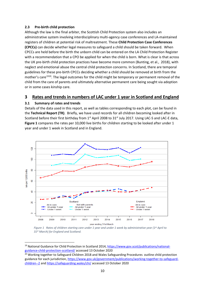#### <span id="page-9-0"></span>**2.3 Pre-birth child protection**

Although the law is the final arbiter, the Scottish Child Protection system also includes an administrative system involving interdisciplinary multi-agency case conferences and LA-maintained registers of children at potential risk of maltreatment. These **Child Protection Case Conferences (CPCCs)** can decide whether legal measures to safeguard a child should be taken forward. When CPCCs are held before the birth the unborn child can be entered on the LA Child Protection Register with a recommendation that a CPO be applied for when the child is born. What is clear is that across the UK pre-birth child protection practices have become more common (Bunting, et al., 2018), with neglect and emotional abuse the central child protection concerns. In Scotland, there are temporal guidelines for these pre-birth CPCCs deciding whether a child should be removed at birth from the mother's care<sup>[19](#page-9-3)[20](#page-9-4)</sup>. The legal outcomes for the child might be temporary or permanent removal of the child from the care of parents and ultimately alternative permanent care being sought via adoption or in some cases kinship care.

## <span id="page-9-1"></span>**3 Rates and trends in numbers of LAC under 1 year in Scotland and England**

## <span id="page-9-2"></span>**3.1 Summary of rates and trends**

<u>.</u>

Details of the data used in this report, as well as tables corresponding to each plot, can be found in the **Technical Report (TR)**. Briefly, we have used records for all children becoming looked after in Scotland before their first birthday from 1<sup>st</sup> April 2008 to 31<sup>st</sup> July 2017. Using LAC-S and LAC-E data, **Figure 1** compares the rates per 10,000 live births for children starting to be looked after under 1 year and under 1 week in Scotland and in England.



*Figure 1 Rates of children starting care under 1 year and under 1 week by administrative year (1st April to 31st March) for England and Scotland.*

<span id="page-9-3"></span><sup>&</sup>lt;sup>19</sup> National Guidance for Child Protection in Scotland 2014, [https://www.gov.scot/publications/national](https://www.gov.scot/publications/national-guidance-child-protection-scotland/)[guidance-child-protection-scotland/](https://www.gov.scot/publications/national-guidance-child-protection-scotland/) accessed 13 October 2020

<span id="page-9-4"></span><sup>&</sup>lt;sup>20</sup> Working together to Safeguard Children 2018 and Wales Safeguarding Procedures outline child protection guidance for each jurisdiction[, https://www.gov.uk/government/publications/working-together-to-safeguard](https://www.gov.uk/government/publications/working-together-to-safeguard-children--2)[children--2](https://www.gov.uk/government/publications/working-together-to-safeguard-children--2) and<https://safeguarding.wales/chi/> accessed 13 October 2020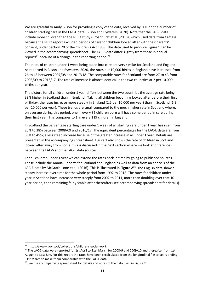We are grateful to Andy Bilson for providing a copy of the data, received by FOI, on the number of children starting care in the LAC-E data (Bilson and Bywaters, 2020). Note that the LAC-E data include more children than the NFJO study (Broadhurst et al. ,2018), which used data from Cafcass because the NFJO report excluded periods of care for children looked after with their parents' consent, under Section 20 of the Children's Act 1989. The data used to produce Figure 1 can be viewed in the accompanying spreadsheet. The LAC-S data differ slightly from those in annual reports<sup>[21](#page-10-0)</sup> because of a change in the reporting period.<sup>[22](#page-10-1)</sup>

The rates of children under 1 week being taken into care are very similar for Scotland and England. As reported in Bilson and Bywaters, 2020, the rates per 10,000 births in England have increased from 26 to 48 between 2007/08 and 2017/18. The comparable rates for Scotland are from 27 to 43 from 2008/09 to 2016/17. The rate of increase is almost identical in the two countries at 2 per 10,000 births per year.

The picture for all children under 1 year differs between the two countries the average rate being 38% higher in Scotland than in England. Taking all children becoming looked after before their first birthday, the rates increase more steeply in England (2.5 per 10,000 per year) than in Scotland (1.3 per 10,000 per year). These trends are small compared to the much higher rate in Scotland where, on average during this period, one in every 85 children born will have some period in care during their first year. This compares to 1 in every 119 children in England.

In Scotland the percentage starting care under 1 week of all starting care under 1 year has risen from 25% to 38% between 2008/09 and 2016/17. The equivalent percentages for the LAC-E data are from 38% to 45%; a less steep increase because of the greater increase in all under 1 year. Details are presented in the accompanying spreadsheet. Figure 1 also shows the rate of children in Scotland looked after away from home; this is discussed in the next section where we look at differences between the LAC-S and the LAC-E data sources.

For all children under 1 year we can extend the rates back in time by going to published sources. These include the Annual Reports for Scotland and England as well as data from an analysis of the LAC-E data by McGrath-Lone et al. (2016). This is illustrated in **Figure 2**[23](#page-10-2). The English data show a steady increase over time for the whole period from 1992 to 2018. The rates for children under 1 year in Scotland have increased very steeply from 2002 to 2011, more than doubling over that 10 year period, then remaining fairly stable after thereafter (see accompanying spreadsheet for details).

<u>.</u>

<span id="page-10-0"></span><sup>21</sup> https://www.gov.scot/collections/childrens-social-work

<span id="page-10-1"></span><sup>&</sup>lt;sup>22</sup> The LAC-S data were reported for 1st April to 31st March for 2008/9 and 2009/10 and thereafter from 1st August to 31st July. For this report the rates have been recalculated from the longitudinal file to years ending 31st March to make them comparable with the LAC-E data

<span id="page-10-2"></span> $23$  See the accompanying spreadsheet for details and notes of the data used in Figure 2.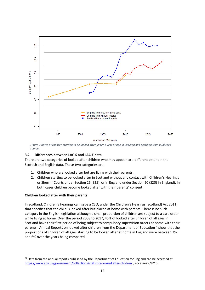

*Figure 2 Rates of children starting to be looked after under 1 year of age in England and Scotland from published sources*

## <span id="page-11-0"></span>**3.2 Differences between LAC-S and LAC-E data**

There are two categories of looked after children who may appear to a different extent in the Scottish and English data. These two categories are:

- 1. Children who are looked after but are living with their parents.
- 2. *C*hildren starting to be looked after in Scotland without any contact with Children's Hearings or Sherriff Courts under Section 25 (S25), or in England under Section 20 (S20) in England). In both cases children become looked after with their parents' consent.

#### **Children looked after with their parents**

**.** 

In Scotland, Children's Hearings can issue a CSO, under the Children's Hearings (Scotland) Act 2011, that specifies that the child is looked after but placed at home with parents. There is no such category in the English legislation although a small proportion of children are subject to a care order while living at home. Over the period 2008 to 2017, 45% of looked after children of all ages in Scotland have their first period of being subject to compulsory supervision orders at home with their parents. Annual Reports on looked after children from the Department of Education<sup>[24](#page-11-1)</sup> show that the proportions of children of all ages starting to be looked after at home in England were between 3% and 6% over the years being compared.

<span id="page-11-1"></span><sup>&</sup>lt;sup>24</sup> Data from the annual reports published by the Department of Education for England can be accessed at [https://www.gov.uk/government/collections/statistics-looked after-children](https://www.gov.uk/government/collections/statistics-looked-after-children) , accesses 2/9/10.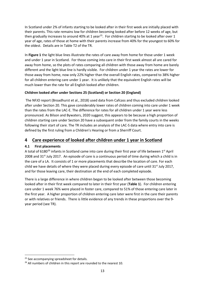In Scotland under 2% of infants starting to be looked after in their first week are initially placed with their parents. This rate remains low for children becoming looked after before 12 weeks of age, but then gradually increases to around 40% at 1 year<sup>25</sup>. For children starting to be looked after over 1 year of age, rates of those at home with their parents increase from 40% for the youngest to 60% for the oldest. Details are in Table T2 of the TR.

In **Figure 1** the light blue lines illustrate the rates of care away from home for those under 1 week and under 1 year in Scotland. For those coming into care in their first week almost all are cared for away from home, so the plots of rates comparing all children with those away from home are barely different and the light blue line is hardly visible. For children under 1 year the rates are lower for those away from home, now only 22% higher than the overall English rates, compared to 38% higher for all children entering care under 1 year. It is unlikely that the equivalent English rates will be much lower than the rate for all English looked after children.

## **Children looked after under Sections 25 (Scotland) or Section 20 (England)**

The NFJO report (Broadhurst et al., 2018) used data from Cafcass and thus excluded children looked after under Section 20. This gave considerably lower rates of children coming into care under 1 week than the rates from the LAC-E. The difference for rates for all children under 1 year were less pronounced. As Bilson and Bywaters, 2020 suggest, this appears to be because a high proportion of children starting care under Section 20 have a subsequent order from the family courts in the weeks following their start of care. The TR includes an analysis of the LAC-S data where entry into care is defined by the first ruling from a Children's Hearing or from a Sherriff Court.

## <span id="page-12-0"></span>**4 Care experience of looked after children under 1 year in Scotland**

## <span id="page-12-1"></span>**4.1 First placements**

A total of 6180<sup>[26](#page-12-3)</sup> infants in Scotland came into care during their first year of life between 1<sup>st</sup> April 2008 and  $31<sup>st</sup>$  July 2017. An episode of care is a continuous period of time during which a child is in the care of a LA. It consists of 1 or more placements that describe the location of care. For each child we have details of where they were placed during every episode of care until 31<sup>st</sup> July 2017, and for those leaving care, their destination at the end of each completed episode.

There is a large difference in where children began to be looked after between those becoming looked after in their first week compared to later in their first year (**Table 1**). For children entering care under 1 week 76% were placed in foster care, compared to 51% of those entering care later in the first year. A higher proportion of children entering care later were first in the care their parents or with relatives or friends. There is little evidence of any trends in these proportions over the 9 year period (see TR).

**.** 

<span id="page-12-2"></span><sup>&</sup>lt;sup>25</sup> See accompanying spreadsheet for details.

<span id="page-12-3"></span><sup>&</sup>lt;sup>26</sup> All numbers of children in this report are rounded to the nearest 10.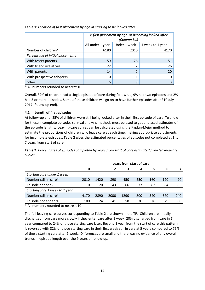|                                  | % first placement by age at becoming looked after<br>(Column %s) |      |      |  |  |  |  |  |
|----------------------------------|------------------------------------------------------------------|------|------|--|--|--|--|--|
|                                  | Under 1 week<br>All under 1 year<br>1 week to 1 year             |      |      |  |  |  |  |  |
| Number of children*              | 6180                                                             | 2010 | 4170 |  |  |  |  |  |
| Percentage of initial placements |                                                                  |      |      |  |  |  |  |  |
| With foster parents              | 59                                                               | 76   | 51   |  |  |  |  |  |
| With friends/relatives           | 22                                                               | 12   | 26   |  |  |  |  |  |
| With parents                     | 14                                                               | 2    | 20   |  |  |  |  |  |
| With prospective adopters        | 0                                                                | 1    |      |  |  |  |  |  |
| other<br>5<br>9                  |                                                                  |      |      |  |  |  |  |  |

**Table 1:** *Location of first placement by age at starting to be looked after*

\* All numbers rounded to nearest 10

Overall, 89% of children had a single episode of care during follow-up, 9% had two episodes and 2% had 3 or more episodes. Some of these children will go on to have further episodes after 31<sup>st</sup> July 2017 (follow-up end).

#### <span id="page-13-0"></span>**4.2 Length of first episodes**

At follow-up end, 35% of children were still being looked after in their first episode of care. To allow for these incomplete episodes survival analysis methods must be used to get unbiased estimates of the episode lengths. Leaving-care curves can be calculated using the Kaplan-Meier method to estimate the proportions of children who leave care at each time, making appropriate adjustments for incomplete episodes. **Table 2** gives the estimated percentages of episodes not completed at 1 to 7 years from start of care.

**Table 2***: Percentages of episodes completed by years from start of care estimated from leaving-care curves.* 

|                                | years from start of care |      |      |      |     |     |     |     |
|--------------------------------|--------------------------|------|------|------|-----|-----|-----|-----|
|                                | 0                        | 1    | 2    | 3    | 4   | 5   | 6   |     |
| Starting care under 1 week     |                          |      |      |      |     |     |     |     |
| Number still in care*          | 2010                     | 1420 | 890  | 450  | 250 | 160 | 120 | 90  |
| Episode ended %                | 0                        | 20   | 43   | 66   | 77  | 82  | 84  | 85  |
| Starting care 1 week to 1 year |                          |      |      |      |     |     |     |     |
| Number still in care*          | 4170                     | 2890 | 2000 | 1290 | 800 | 540 | 370 | 240 |
| Episode not ended %            | 100                      | 24   | 41   | 58   | 70  | 76  | 79  | 80  |

\* All numbers rounded to nearest 10

The full leaving-care curves corresponding to Table 2 are shown in the TR. Children are initially discharged from care more slowly if they enter care after 1 week, 20% discharged from care in  $1^{st}$ year compared to 24% of those starting care later. Beyond 1 year from the start of care this pattern is reversed with 82% of those starting care in their first week still in care at 5 years compared to 76% of those starting care after 1 week. Differences are small and there was no evidence of any overall trends in episode length over the 9 years of follow-up.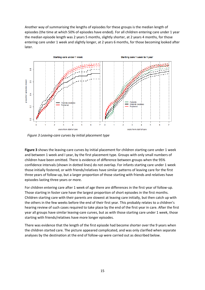Another way of summarising the lengths of episodes for these groups is the median length of episodes (the time at which 50% of episodes have ended). For all children entering care under 1 year the median episode length was 2 years 5 months, slightly shorter, at 2 years 4 months, for those entering care under 1 week and slightly longer, at 2 years 6 months, for those becoming looked after later.



*Figure 3 Leaving-care curves by initial placement type*

**Figure 3** shows the leaving-care curves by initial placement for children starting care under 1 week and between 1 week and I year, by the first placement type. Groups with only small numbers of children have been omitted. There is evidence of difference between groups when the 95% confidence intervals (shown in dotted lines) do not overlap. For infants starting care under 1 week those initially fostered, or with friends/relatives have similar patterns of leaving care for the first three years of follow-up, but a larger proportion of those starting with friends and relatives have episodes lasting three years or more.

For children entering care after 1 week of age there are differences in the first year of follow-up. Those starting in foster care have the largest proportion of short episodes in the first months. Children starting care with their parents are slowest at leaving care initially, but then catch up with the others in the few weeks before the end of their first year. This probably relates to a children's hearing review of such cases required to take place by the end of the first year in care. After the first year all groups have similar leaving-care curves, but as with those starting care under 1 week, those starting with friends/relatives have more longer episodes.

There was evidence that the length of the first episode had become shorter over the 9 years when the children started care. The picture appeared complicated, and was only clarified when separate analyses by the destination at the end of follow-up were carried out as described below.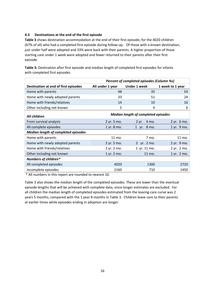## <span id="page-15-0"></span>**4.3 Destinations at the end of the first episode**

**Table 3** shows destination accommodation at the end of their first episode, for the 4020 children (67% of all) who had a completed first episode during follow-up. Of those with a known destination, just under half were adopted and 33% were back with their parents. A higher proportion of those starting care under 1 week were adopted and fewer returned to their parents after their first episode.

**Table 3:** Destination after first episode and median length of completed first episodes for infants with completed first episodes

|                                            | Percent of completed episodes (Column %s)  |                     |                  |  |  |  |  |  |
|--------------------------------------------|--------------------------------------------|---------------------|------------------|--|--|--|--|--|
| Destination at end of first episodes       | All under 1 year                           | <b>Under 1 week</b> | 1 week to 1 year |  |  |  |  |  |
| Home with parents                          | 48                                         | 35                  | 54               |  |  |  |  |  |
| Home with newly adopted parents            | 33                                         | 51                  | 24               |  |  |  |  |  |
| Home with friends/relatives                | 14                                         | 10                  | 16               |  |  |  |  |  |
| Other including not known                  | 5                                          | 4                   | 6                |  |  |  |  |  |
| All children                               | <b>Median length of completed episodes</b> |                     |                  |  |  |  |  |  |
| From survival analysis                     | 2 yr. 5 mo.                                | $2 yr.$ 4 mo.       | 2 yr. 6 mo.      |  |  |  |  |  |
| All complete episodes                      | 1 yr. 8 mo.                                | 1 yr. 8 mo.         | 1 yr. 9 mo.      |  |  |  |  |  |
| <b>Median length of completed episodes</b> |                                            |                     |                  |  |  |  |  |  |
| Home with parents                          | 11 mo.                                     | 7 mo.               | 11 mo.           |  |  |  |  |  |
| Home with newly adopted parents            | 2 yr. 5 mo.                                | 2 yr. 2 mo.         | 2 yr. 9 mo.      |  |  |  |  |  |
| Home with friends/relatives                | 2 yr. 2 mo.                                | 1 yr. 11 mo.        | 2 yr. 2 mo.      |  |  |  |  |  |
| Other including not known                  | 1 yr. 2 mo.                                | 11 mo.              | 1 yr. 2 mo.      |  |  |  |  |  |
| Numbers of children*                       |                                            |                     |                  |  |  |  |  |  |
| All completed episodes                     | 4020                                       | 1300                | 2720             |  |  |  |  |  |
| Incomplete episodes                        | 2160                                       | 710                 | 1450             |  |  |  |  |  |

\* All numbers in this report are rounded to nearest 10.

Table 3 also shows the median length of the completed episodes. These are lower than the eventual episode lengths that will be achieved with complete data, since longer estimates are excluded. For all children the median length of completed episodes estimated from the leaving-care curve was 2 years 5 months, compared with the 1 year 8 months in Table 3. Children leave care to their parents at earlier times while episodes ending in adoption are longer.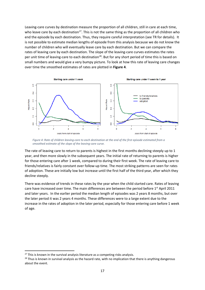Leaving-care curves by destination measure the proportion of all children, still in care at each time, who leave care by each destination<sup>27</sup>. This is not the same thing as the proportion of all children who end the episode by each destination. Thus, they require careful interpretation (see TR for details). It is not possible to estimate median lengths of episode from this analysis because we do not know the number of children who will eventually leave care by each destination. But we can compare the rates of leaving care by each destination. The slope of the leaving-care curves estimates the rates per unit time of leaving-care to each destination<sup>28</sup>. But for any short period of time this is based on small numbers and would give a very bumpy picture. To look at how this rate of leaving care changes over time the smoothed estimates of rates are plotted in **Figure 4**.



*Figure 4: Rate of children leaving-care to each destination at the end of the first episode estimated from a smoothed estimate of the slope of the leaving-care curve.*

The rate of leaving care to return to parents is highest in the first months declining steeply up to 1 year, and then more slowly in the subsequent years. The initial rate of returning to parents is higher for those entering care after 1 week, compared to during their first week. The rate of leaving care to friends/relatives is fairly constant over follow-up time. The most striking patterns are seen for rates of adoption. These are initially low but increase until the first half of the third year, after which they decline steeply.

There was evidence of trends in these rates by the year when the child started care. Rates of leaving care have increased over time. The main differences are between the period before  $1<sup>st</sup>$  April 2011 and later years. In the earlier period the median length of episodes was 2 years 8 months, but over the later period it was 2 years 4 months. These differences were to a large extent due to the increase in the rates of adoption in the later period, especially for those entering care before 1 week of age.

 $\overline{a}$ 

<span id="page-16-0"></span> $27$  This is known in the survival analysis literature as a competing risks analysis.

<span id="page-16-1"></span><sup>&</sup>lt;sup>28</sup> Thus is known in survival analysis as the hazard rate, with no implication that there is anything dangerous about the event.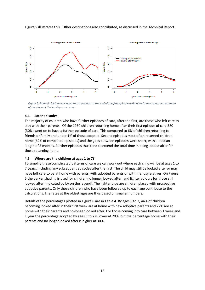**Figure 5** illustrates this. Other destinations also contributed, as discussed in the Technical Report.



*Figure 5: Rate of children leaving-care to adoption at the end of the first episode estimated from a smoothed estimate of the slope of the leaving-care curve.*

#### <span id="page-17-0"></span>**4.4 Later episodes**

The majority of children who have further episodes of care, after the first, are those who left care to stay with their parents. Of the 1930 children returning home after their first episode of care 580 (30%) went on to have a further episode of care. This compared to 6% of children returning to friends or family and under 1% of those adopted. Second episodes most often returned children home (62% of completed episodes) and the gaps between episodes were short, with a median length of 8 months. Further episodes thus tend to extend the total time in being looked after for those returning home.

#### <span id="page-17-1"></span>**4.5 Where are the children at ages 1 to 7?**

To simplify these complicated patterns of care we can work out where each child will be at ages 1 to 7 years, including any subsequent episodes after the first. The child may still be looked after or may have left care to be at home with parents, with adopted parents or with friends/relatives. On Figure 5 the darker shading is used for children no longer looked after, and lighter colours for those still looked after (indicated by LA on the legend). The lighter blue are children placed with prospective adoptive parents. Only those children who have been followed up to each age contribute to the calculations. The rates at the oldest ages are thus based on smaller numbers.

Details of the percentages plotted in **Figure 6** are in **Table 4**. By ages 5 to 7, 44% of children becoming looked after in their first week are at home with new adoptive parents and 22% are at home with their parents and no-longer looked after. For those coming into care between 1 week and 1 year the percentage adopted by ages 5 to 7 is lower at 20%, but the percentage home with their parents and no longer looked after is higher at 30%.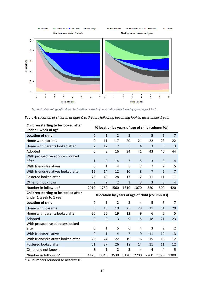

*Figure 6: Percentage of children by location at start of care and on their birthdays from ages 1 to 7,*

|  |  |  | Table 4: Location of children at ages 0 to 7 years following becoming looked after under 1 year |  |  |
|--|--|--|-------------------------------------------------------------------------------------------------|--|--|
|--|--|--|-------------------------------------------------------------------------------------------------|--|--|

| Children starting to be looked after<br>under 1 week of age    | % location by years of age of child (column %s) |                |                |                |                |                |                |                |
|----------------------------------------------------------------|-------------------------------------------------|----------------|----------------|----------------|----------------|----------------|----------------|----------------|
| <b>Location of child</b>                                       | $\mathbf 0$                                     | $\mathbf{1}$   | $\overline{2}$ | 3              | $\overline{4}$ | 5              | 6              | $\overline{7}$ |
| Home with parents                                              | 0                                               | 11             | 17             | 20             | 21             | 22             | 23             | 22             |
| Home with parents looked after                                 | $\overline{2}$                                  | 12             | $\overline{7}$ | 5              | $\overline{4}$ | 3              | 3              | 3              |
| Adopted                                                        | 0                                               | 3              | 16             | 34             | 41             | 43             | 45             | 44             |
| With prospective adopters looked<br>after                      | $\mathbf{1}$                                    | 9              | 14             | 7              | 5              | 3              | 3              | 4              |
| With friends/relatives                                         | 0                                               | $\mathbf{1}$   | 4              | 5              | $\overline{7}$ | $\overline{7}$ | $\overline{7}$ | 5              |
| With friends/relatives looked after                            | 12                                              | 14             | 12             | 10             | 8              | $\overline{7}$ | 6              | $\overline{7}$ |
| <b>Fostered looked after</b>                                   | 76                                              | 49             | 28             | 17             | 12             | 11             | 11             | 11             |
| Other or not known                                             | 9                                               | $\overline{2}$ | $\overline{2}$ | 3              | 3              | 3              | 3              | 4              |
| Number in follow-up*                                           | 2010                                            | 1780           | 1560           | 1310           | 1070           | 820            | 500            | 420            |
|                                                                | %location by years of age of child (column %s)  |                |                |                |                |                |                |                |
| Children starting to be looked after<br>under 1 week to 1 year |                                                 |                |                |                |                |                |                |                |
| <b>Location of child</b>                                       | $\boldsymbol{0}$                                | $\mathbf{1}$   | $\overline{2}$ | 3              | 4              | 5              | 6              | $\overline{7}$ |
| Home with parents                                              | $\mathbf 0$                                     | 10             | 19             | 25             | 29             | 31             | 31             | 29             |
| Home with parents looked after                                 | 20                                              | 25             | 19             | 12             | 9              | 6              | 5              | 5              |
| Adopted                                                        | $\mathbf 0$                                     | $\mathbf 0$    | 3              | 9              | 15             | 18             | 21             | 23             |
| With prospective adopters looked<br>after                      | 0                                               | 1              | 5              | 6              | 4              | 3              | $\overline{2}$ | 2              |
| With friends/relatives                                         | $\Omega$                                        | $\mathbf{1}$   | $\overline{4}$ | $\overline{7}$ | 9              | 11             | 12             | 13             |
| With friends/relatives looked after                            | 26                                              | 24             | 22             | 19             | 16             | 15             | 13             | 12             |
| <b>Fostered looked after</b>                                   | 51                                              | 37             | 26             | 18             | 14             | 11             | 11             | 12             |
| Other and not known                                            | 3                                               | $\mathbf{1}$   | $\overline{2}$ | 3              | 4              | 4              | 4              | 5              |

\* All numbers rounded to nearest 10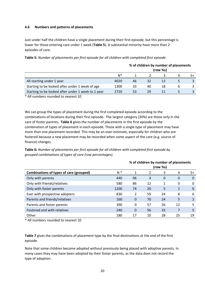#### <span id="page-19-0"></span>**4.6 Numbers and patterns of placements**

Just under half the children have a single placement during their first episode, but this percentage is lower for those entering care under 1 week (**Table 5**). A substantial minority have more than 2 episodes of care.

|                                                    |      |    |    | % of children by number of placements<br>(row %s) |   |    |
|----------------------------------------------------|------|----|----|---------------------------------------------------|---|----|
|                                                    | N*   |    |    |                                                   | 4 | 5+ |
| All starting under 1 year                          | 4020 | 46 | 32 |                                                   |   |    |
| Starting to be looked after under 1 week of age    | 1300 | 33 | 40 | 18                                                | b |    |
| Starting to be looked after under 1 week to 1 year | 2720 | 53 | 29 |                                                   |   |    |

**Table 5:** *Number of placements per first episode for all children with completed first episode*

\* All numbers rounded to nearest 10

We can group the types of placement during the first completed episode according to the combinations of locations during their first episode. The largest category (30%) are those only in the care of foster parents**. Table 6** gives the number of placements in the first episode by the combination of types of placement in each episode. Those with a single type of placement may have more than one placement recorded. This may be an over-estimate, especially for children who are fostered because a new placement may be recorded when some aspect of the care (e.g. source of finance) changes.

**Table 6:** *Number of placements per first episode for all children with completed first episode by grouped combinations of types of care (row percentages).*

|                                         | (row %s) |    |    |    |    |                |  |  |  |
|-----------------------------------------|----------|----|----|----|----|----------------|--|--|--|
| Combinations of types of care (grouped) | $N^*$    |    |    | 3  | 4  | $5+$           |  |  |  |
| Only with parents                       | 440      | 96 | 4  | 0  | 0  | 0              |  |  |  |
| Only with friends/relatives             | 580      | 86 | 12 |    | 0  | 0              |  |  |  |
| Only with foster parents                | 1200     | 74 | 20 | 5  |    | $\Omega$       |  |  |  |
| Ever with prospective adopters          | 830      | 2  | 59 | 24 | 8  | 6              |  |  |  |
| Parents and friends/relatives           | 160      | 0  | 70 | 24 | 5  | $\overline{2}$ |  |  |  |
| Parents and foster parents              | 390      | 0  | 57 | 26 | 12 | 5              |  |  |  |
| Fostered and with relatives             | 240      | 0  | 56 | 33 |    | 5              |  |  |  |
| Other                                   | 180      | 17 | 10 | 28 | 25 | 19             |  |  |  |

**% of children by number of placements** 

\* All numbers rounded to nearest 10

**Table 7** gives the combinations of placement type by the final destinations at the end of the first episode.

Note that some children become adopted without previously being placed with adoptive parents. In many cases they may have been adopted by their foster parents, as the data does not record the type of adoption.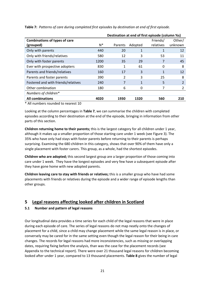|                                      | Destination at end of first episode (column %s) |         |         |           |                |  |  |
|--------------------------------------|-------------------------------------------------|---------|---------|-----------|----------------|--|--|
| <b>Combinations of types of care</b> |                                                 |         |         | Friends/  | Other/         |  |  |
| (grouped)                            | $N^*$                                           | Parents | Adopted | relatives | unknown        |  |  |
| Only with parents                    | 440                                             | 20      | 1       | 1         | 12             |  |  |
| Only with friends/relatives          | 580                                             | 12      | 3       | 53        | 11             |  |  |
| Only with foster parents             | 1200                                            | 35      | 29      |           | 45             |  |  |
| Ever with prospective adopters       | 830                                             | 1       | 61      | 0         | 8              |  |  |
| Parents and friends/relatives        | 160                                             | 17      | 3       |           | 12             |  |  |
| Parents and foster parents           | 390                                             | 2       | 3       | 25        | 8              |  |  |
| Fostered and with friends/relatives  | 240                                             | 7       | 1       | 5         | $\overline{2}$ |  |  |
| Other combination                    | 180                                             | 6       | 0       |           | 2              |  |  |
| Numbers of children*                 |                                                 |         |         |           |                |  |  |
| <b>All combinations</b>              | 4020                                            | 1930    | 1320    | 560       | 210            |  |  |

**Table 7:** *Patterns of care during completed first episodes by destination at end of first episode.*

\* All numbers rounded to nearest 10

Looking at the column percentages in **Table 7**, we can summarise the children with completed episodes according to their destination at the end of the episode, bringing in information from other parts of this section.

**Children returning home to their parents;** this is the largest category for all children under 1 year, although it makes up a smaller proportion of those starting care under 1 week (see Figure 3). The 35% who have only had stays with foster parents before returning to their parents is perhaps surprising. Examining the 680 children in this category, shows that over 90% of them have only a single placement with foster carers. This group, as a whole, had the shortest episodes.

**Children who are adopted;** this second largest group are a larger proportion of those coming into care under 1 week. They have the longest episodes and very few have a subsequent episode after they have gone home with new adopted parents.

**Children leaving care to stay with friends or relatives;** this is a smaller group who have had some placements with friends or relatives during the episode and a wider range of episode lengths than other groups.

## <span id="page-20-0"></span>**5 Legal reasons affecting looked after children in Scotland**

## <span id="page-20-1"></span>**5.1 Number and pattern of legal reasons**

Our longitudinal data provides a time series for each child of the legal reasons that were in place during each episode of care. The series of legal reasons do not map neatly onto the changes of placement for a child, since a child may change placement while the same legal reason is in place, or conversely may be cared for in the same setting even though the legal reason for their being in care changes. The records for legal reasons had more inconsistencies, such as missing or overlapping dates, requiring fixing before the analysis, than was the case for the placement records (see Appendix to the technical report). There were over 21 thousand legal reasons for children becoming looked after under 1 year, compared to 13 thousand placements. **Table 8** gives the number of legal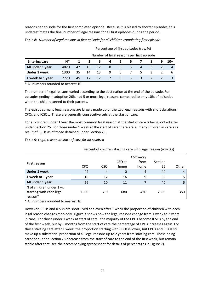reasons per episode for the first completed episode. Because it is biased to shorter episodes, this underestimates the final number of legal reasons for all first episodes during the period.

|                                                           | Percentage of first episodes (row %)      |    |    |    |   |    |   |       |   |  |   |
|-----------------------------------------------------------|-------------------------------------------|----|----|----|---|----|---|-------|---|--|---|
|                                                           | Number of legal reasons per first episode |    |    |    |   |    |   |       |   |  |   |
| N*<br><b>Entering care</b><br>3<br>4<br>-6<br>8<br>5<br>9 |                                           |    |    |    |   |    |   | $10+$ |   |  |   |
| All under 1 year                                          | 4020                                      | 42 | 16 | 12 | 8 | 5. | 5 | 4     | 3 |  |   |
| <b>Under 1 week</b>                                       | 1300                                      | 35 | 14 | 13 | 9 | 5. |   | .5.   |   |  | 6 |
| 1 week to 1 year                                          | 2720                                      | 45 |    | 12 |   | 5. | 3 | 3     |   |  |   |

**Table 8:** *Number of legal reasons in first episode for all children completing first episode*

\* All numbers rounded to nearest 10

The number of legal reasons varied according to the destination at the end of the episode. For episodes ending in adoption 26% had 5 or more legal reasons compared to only 10% of episodes when the child returned to their parents.

The episodes many legal reasons are largely made up of the two legal reasons with short durations, CPOs and ICSOs. These are generally consecutive sets at the start of care.

For all children under 1 year the most common legal reason at the start of care is being looked after under Section 25. For those under 1 week at the start of care there are as many children in care as a result of CPOs as of those detained under Section 25.

**Table 9**: *Legal reason at start of care for all children*

|                           | Percent of children starting care with legal reason (row %s) |                |             |      |         |       |  |  |  |  |
|---------------------------|--------------------------------------------------------------|----------------|-------------|------|---------|-------|--|--|--|--|
|                           |                                                              | CSO away       |             |      |         |       |  |  |  |  |
| <b>First reason</b>       |                                                              |                | CSO at      | from | Section |       |  |  |  |  |
|                           | <b>CPO</b>                                                   | <b>ICSO</b>    | home        | home | 25      | Other |  |  |  |  |
| <b>Under 1 week</b>       | 44                                                           | $\overline{4}$ | $\mathbf 0$ | 4    | 44      | 4     |  |  |  |  |
| 1 week to 1 year          | 18                                                           | 12             | 16          | 9    | 39      | 6     |  |  |  |  |
| All under 1 year          | 26                                                           | 10             | 11          | 7    | 40      | 6     |  |  |  |  |
| N of children under 1 yr. |                                                              |                |             |      |         |       |  |  |  |  |
| starting with each legal  | 1630                                                         | 610            | 680         | 430  | 2500    | 350   |  |  |  |  |
| reason*                   |                                                              |                |             |      |         |       |  |  |  |  |

\* All numbers rounded to nearest 10

However, CPOs and ICSOs are short-lived and even after 1 week the proportion of children with each legal reason changes markedly. **Figure 7** shows how the legal reasons change from 1 week to 2 years in care. For those under 1 week at start of care, the majority of the CPOs become ICSOs by the end of the first week, but by 6 months from the start of care the percentage of CPOs increases again. For those starting care after 1 week, the proportion starting with CPOs is lower, but CPOs and ICSOs still make up a substantial proportion of all legal reasons up to 2 years from starting care. Those being cared for under Section 25 decrease from the start of care to the end of the first week, but remain stable after that (see the accompanying spreadsheet for details of percentages in Figure 7).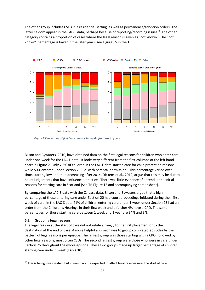The other group includes CSOs in a residential setting, as well as permanence/adoption orders. The latter seldom appear in the LAC-S data, perhaps because of reporting/recording issues<sup>29</sup>. The other category contains a proportion of cases where the legal reason is given as "not known". The "not known" percentage is lower in the later years (see Figure T5 in the TR).



*Figure 7 Percentage of first legal reasons by weeks from start of care*

Bilson and Bywaters, 2010, have obtained data on the first legal reasons for children who enter care under one week for the LAC-E data. It looks very different from the first columns of the left hand chart in **Figure 7**. Only 7.5% of children in the LAC-E data started care for child protection reasons while 50% entered under Section 20 (i.e. with parental permission). This percentage varied over time, starting low and then decreasing after 2014. Dickens et al., 2019, argue that this may be due to court judgements that have influenced practice. There was little evidence of a trend in the initial reasons for starting care in Scotland (See TR Figure T5 and accompanying spreadsheet).

By comparing the LAC-E data with the Cafcass data, Bilson and Bywaters argue that a high percentage of those entering care under Section 20 had court proceedings initiated during their first week of care. In the LAC-S data 41% of children entering care under 1 week under Section 25 had an order from the Children's Hearings in their first week and a further 4% have a CPO. The same percentages for those starting care between 1 week and 1 year are 34% and 3%.

#### <span id="page-22-0"></span>**5.2 Grouping legal reasons**

The legal reason at the start of care did not relate strongly to the first placement or to the destination at the end of care. A more helpful approach was to group completed episodes by the pattern of legal reasons per episode. The largest group was those starting with a CPO, followed by other legal reasons, most often CSOs. The second largest group were those who were in care under Section 25 throughout the whole episode. These two groups made up larger percentage of children starting care under 1 week (**Table 10**).

<span id="page-22-1"></span> $\overline{a}$ <sup>29</sup> This is being investigated, but it would not be expected to affect legal reasons near the start of care.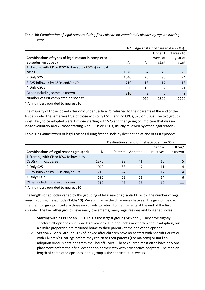|                                                       | $N^*$ | Age at start of care (column %s) |         |           |  |  |
|-------------------------------------------------------|-------|----------------------------------|---------|-----------|--|--|
|                                                       |       |                                  | Under 1 | 1 week to |  |  |
| Combinations of types of legal reason in completed    |       |                                  | week at | 1 year at |  |  |
| episodes (grouped)                                    | All   | All                              | start   | start     |  |  |
| 1 Starting with CP or ICSO followed by CSO(s) in most |       |                                  |         |           |  |  |
| cases                                                 | 1370  | 34                               | 46      | 28        |  |  |
| 2 Only S25                                            | 1040  | 26                               | 30      | 24        |  |  |
| 3 S25 followed by CSOs and/or CPs                     | 710   | 18                               | 17      | 18        |  |  |
| 4 Only CSOs                                           | 590   | 15                               | 2       | 21        |  |  |
| Other including some unknown                          | 310   | 8                                | 5       | 9         |  |  |
| Number of first completed episodes*                   |       | 4020                             | 1300    | 2720      |  |  |

**Table 10:** *Combination of legal reasons during first episode for completed episodes by age at starting care*

\* All numbers rounded to nearest 10

The majority of those looked after only under Section 25 returned to their parents at the end of the first episode. The same was true of those with only CSOs, and no CPOs, S25 or ICSOs. The two groups most likely to be adopted were 1) those starting with S25 and then going on into care that was no longer voluntary and 2) those starting with CPOs or ICSOs, usually followed by other legal reasons.

**Table 11:** *Combinations* of legal reasons during first episode by destination at end of first episode:

|                                               |      | Destination at end of first episode (row %s) |         |           |         |  |
|-----------------------------------------------|------|----------------------------------------------|---------|-----------|---------|--|
|                                               |      |                                              |         | Friends/  | Other/  |  |
| <b>Combinations of legal reason (grouped)</b> | N    | Parents                                      | Adopted | relatives | unknown |  |
| 1 Starting with CP or ICSO followed by        |      |                                              |         |           |         |  |
| CSO(s) in most cases                          | 1370 | 38                                           | 41      | 16        |         |  |
| 2 Only S25                                    | 1040 | 68                                           | 17      | 11        | 4       |  |
| 3 S25 followed by CSOs and/or CPs             | 710  | 24                                           | 55      | 17        | 4       |  |
| 4 Only CSOs                                   | 590  | 68                                           | 12      | 14        | 6       |  |
| Other including some unknown                  | 310  | 43                                           | 36      | 10        | 11      |  |

\* All numbers rounded to nearest 10

The lengths of episodes varied by this grouping of legal reasons (**Table 12**) as did the number of legal reasons during the episode (**Table 13**). We summarise the differences between the groups, below. The first two groups listed are those most likely to return to their parents at the end of the first episode. The two other groups have many placements, many legal reasons and longer episodes.

- 1. **Starting with a CPO or an ICSO**. This is the largest group (34% of all). They have slightly shorter first episodes but more legal reasons. Their episodes most often end in adoption, but a similar proportion are returned home to their parents at the end of the episode.
- 2. **Section 25 only.** Around 20% of looked after children have no contact with Sherriff Courts or with Children's Hearings before they return to their parents (the majority) or until an adoption order is obtained from the Sherriff Court. These children most often have only one placement before their final destination or their stay with prospective adopters. The median length of completed episodes in this group is the shortest at 20 weeks.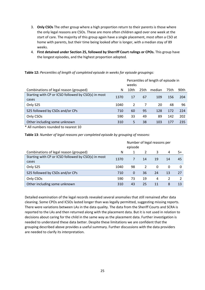- 3. **Only CSOs** The other group where a high proportion return to their parents is those where the only legal reasons are CSOs. These are more often children aged over one week at the start of care. The majority of this group again have a single placement, most often a CSO at home with parents, but their time being looked after is longer, with a median stay of 89 weeks.
- 4. **First detained under Section 25, followed by Sherriff Court rulings or CPOs.** This group have the longest episodes, and the highest proportion adopted.

**Table 12:** *Percentiles of length of completed episode in weeks for episode groupings:*

|                                                              |      | Percentiles of length of episode in<br>weeks |      |        |      |      |  |  |
|--------------------------------------------------------------|------|----------------------------------------------|------|--------|------|------|--|--|
| Combinations of legal reason (grouped)                       | N    | 10th                                         | 25th | median | 75th | 90th |  |  |
| Starting with CP or ICSO followed by CSO(s) in most<br>cases | 1370 | 17                                           | 67   | 109    | 156  | 204  |  |  |
| Only S25                                                     | 1040 | $\mathcal{P}$                                |      | 20     | 48   | 96   |  |  |
| S25 followed by CSOs and/or CPs                              | 710  | 60                                           | 95   | 128    | 172  | 224  |  |  |
| Only CSOs                                                    | 590  | 33                                           | 49   | 89     | 142  | 202  |  |  |
| Other including some unknown                                 | 310  | 5                                            | 38   | 103    | 177  | 235  |  |  |

\* All numbers rounded to nearest 10

**Table 13**: *Number of legal reasons per completed episode by grouping of reasons:*

|                                                              | Number of legal reasons per<br>episode |          |                |    |    |     |
|--------------------------------------------------------------|----------------------------------------|----------|----------------|----|----|-----|
| Combinations of legal reason (grouped)                       | N                                      |          | 2              | 3  | 4  | -5+ |
| Starting with CP or ICSO followed by CSO(s) in most<br>cases | 1370                                   | 7        | 14             | 19 | 14 | 45  |
| Only S25                                                     | 1040                                   | 98       | $\overline{2}$ | 0  | 0  | 0   |
| S25 followed by CSOs and/or CPs                              | 710                                    | $\Omega$ | 36             | 24 | 13 | 27  |
| Only CSOs                                                    | 590                                    | 73       | 19             | 4  | 2  |     |
| Other including some unknown                                 | 310                                    | 43       | 25             | 11 | 8  | 13  |

Detailed examination of the legal records revealed several anomalies that still remained after data cleaning. Some CPOs and ICSOs lasted longer than was legally permitted, suggesting missing reports. There were variations between LAs in the data quality. The data from the Sheriff Courts and SCRA is reported to the LAs and then returned along with the placement data. But it is not used in relation to decisions about caring for the child in the same way as the placement data. Further investigation is needed to understand these data better. Despite these limitations we are confident that the grouping described above provides a useful summary. Further discussions with the data providers are needed to clarify its interpretation.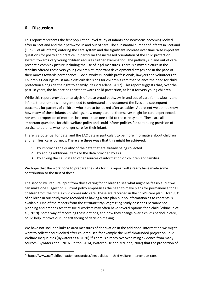## <span id="page-25-0"></span>**6 Discussion**

 $\overline{a}$ 

This report represents the first population-level study of infants and newborns becoming looked after in Scotland and their pathways in and out of care. The substantial number of infants in Scotland (1 in 85 of all infants) entering the care system and the significant increase over time raise important questions for policy and practice. In particular the increased orientation of the child protection system towards very young children requires further examination. The pathways in and out of care present a complex picture including the use of legal measures. There is a mixed picture in the stability offered these very young children at important developmental stages and in the pace of their moves towards permanence. Social workers, health professionals, lawyers and volunteers at Children's Hearings must make difficult decisions for children's care that balance the need for child protection alongside the right to a family life (McFarlane, 2017). This report suggests that, over the past 18 years, the balance has shifted towards child protection, at least for very young children.

While this report provides an analysis of these broad pathways in and out of care for newborns and infants there remains an urgent need to understand and document the lives and subsequent outcomes for parents of children who start to be looked after as babies. At present we do not know how many of these infants are siblings, how many parents themselves might be care-experienced, nor what proportion of mothers lose more than one child to the care system. These are allimportant questions for child welfare policy and could inform policies for continuing provision of service to parents who no longer care for their infant.

There is a potential for data, and the LAC data in particular, to be more informative about children and families' care journeys. **There are three ways that this might be achieved:** 

- 1. By improving the quality of the data that are already being collected
- 2. By adding additional items to the data provided by LAs
- 3. By linking the LAC data to other sources of information on children and families

We hope that the work done to prepare the data for this report will already have made some contribution to the first of these.

The second will require input from those caring for children to see what might be feasible, but we can make one suggestion. Current policy emphasises the need to make plans for permanence for all children from the time a child comes into care. These are recorded in the child's care plan. Over 90% of children in our study were recorded as having a care plan but no information as to contents is available. One of the reports from the *Permanently Progressing* study describes permanence planning and emphasises that social workers may often have several options for a child (Whincup et al., 2019). Some way of recording these options, and how they change over a child's period in care, could help improve our understanding of decision-making.

We have not included links to area measures of deprivation in the additional information we might want to collect about looked after children; see for example the Nuffield=funded project on Child Welfare Inequalities (Bywaters et al 2020).<sup>[30](#page-25-1)</sup> There is already overwhelming evidence from many sources (Bywaters et al. 2016, Pelton, 2014, Waterhouse and McGhee, 2002) that the proportion of

<span id="page-25-1"></span><sup>30</sup> https://www.nuffieldfoundation.org/project/inequalities-in-child-welfare-intervention-rates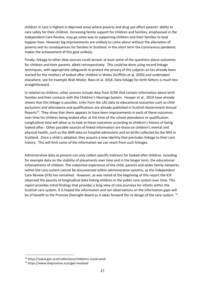children in care is highest in deprived areas where poverty and drug use affect parents' ability to care safely for their children. Increasing family support for children and families, emphasised in the Independent Care Review, may go some way to supporting children and their families to lead happier lives. However big improvements are unlikely to come about without the alleviation of poverty and its consequences for families in Scotland. In the short term the Coronavirus pandemic makes the achievement of this goal unlikely.

Finally, linkage to other data sources could answer at least some of the questions about outcomes for children and their parents, albeit retrospectively. This could be done using record linkage techniques, with appropriate safeguards to protect the privacy of the subjects as has already been started for the mothers of looked after children in Wales (Griffiths et al. 2020) and undertaken elsewhere, see for example Wall-Wieler, Roos et al. 2018. Data linkage for birth fathers is much less straightforward.

In relation to children, other sources include data from SCRA that contain information about birth families and their contacts with the Children's Hearings System. Hooper et al., 2019 have already shown that this linkage is possible. Links from the LAC data to educational outcomes such as child exclusions and attendance and qualifications are already published in Scottish Government Annual Reports<sup>[31](#page-26-0)</sup>. They show that there appears to have been improvements in each of these outcomes over time for children being looked after at the time of the school attendance or qualification. Longitudinal data will allow us to look at these outcomes according to children's history of being looked after. Other possible sources of linked information are those on children's mental and physical health, such as the SMR data on hospital admissions and on births collected by the NHS in Scotland. Once a child is adopted, they acquire a new identity that precludes linkage to their care history. This will limit some of the information we can reach from such linkages.

Administrative data at present can only collect specific indictors for looked after children, including for example data on the stability of placements over time and in the longer term, the educational achievements of children. The subjective experience of the child, parents and wider family networks within the care system cannot be documented within administrative systems, as the Independent Care Review (ICR) has remarked. However, as was noted at the beginning of this report the ICR observed the paucity of longitudinal data linking children in the public care system over time. This report provides initial findings that provides a long view of care journeys for infants within the Scottish care system. It is hoped the information and our observations on the information gaps will be of benefit to the Promise Oversight Board as it takes forward the re-design of the care system. [32](#page-26-1)

**.** 

<span id="page-26-0"></span><sup>31</sup> https://www.gov.scot/collections/childrens-social-work

<span id="page-26-1"></span><sup>32</sup> https://www.thepromise.scot/get-involved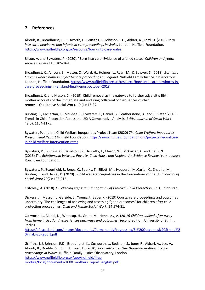## <span id="page-27-0"></span>**7 References**

Alrouh, B., Broadhurst, K., Cusworth, L., Griffiths, L. Johnson, L.D., Akbari, A., Ford, D*.* (2019) *Born into care: newborns and infants in care proceedings in Wales London, Nuffield Foundation.* <https://www.nuffieldfjo.org.uk/resource/born-into-care-wales>

Bilson, A. and Bywaters, P. (2020). "Born into care: Evidence of a failed state." *Children and youth services review* 116: 105-164.

Broadhurst, K., A lrouh, B., Mason, C., Ward, H., Holmes, L., Ryan, M., & Bowyer, S. (2018). *Born into Care: newborn babies subject to care proceedings in England*. Nuffield Family Justice Observatory:. London, Nuffield Foundation[. https://www.nuffieldfjo.org.uk/resource/born-into-care-newborns-in](https://www.nuffieldfjo.org.uk/resource/born-into-care-newborns-in-care-proceedings-in-england-final-report-october-2018)[care-proceedings-in-england-final-report-october-2018](https://www.nuffieldfjo.org.uk/resource/born-into-care-newborns-in-care-proceedings-in-england-final-report-october-2018)

Broadhurst, K. and Mason, C., (2019) Child removal as the gateway to further adversity: Birth mother accounts of the immediate and enduring collateral consequences of child removal Qualitative Social Work, 19 (1): 15-37.

Bunting, L., McCartan, C., McGhee, J., Bywaters, P, Daniel, B., Featherstone, B. and T. Slater (2018). Trends in Child Protection Across the UK: A Comparative Analysis. *British Journal of Social Work* 48(5): 1154-1175.

Bywaters P. and the Child Welfare Inequalities Project Team (2020) *The Child Welfare Inequalities Project: Final Report* Nuffield Foundation. [https://www.nuffieldfoundation.org/project/inequalities](https://www.nuffieldfoundation.org/project/inequalities-in-child-welfare-intervention-rates)[in-child-welfare-intervention-rates](https://www.nuffieldfoundation.org/project/inequalities-in-child-welfare-intervention-rates)

Bywaters, P., Bunting, G., Davidson, G., Hanratty, J., Mason, W., McCartan, C. and Steils, N. (2016) *The Relationship between Poverty, Child Abuse and Neglect: An Evidence Review*, York, Joseph Rowntree Foundation.

Bywaters, P., Scourfield, J., Jones, C., Sparks, T., Elliott, M. , Hooper J., McCartan C., Shapira, M., Bunting, L. and Daniel, B. (2020). "Child welfare inequalities in the four nations of the UK." *Journal of Social Work* 20(2): 193-215.

Critchley, A. (2018). *Quickening steps: an Ethnography of Pre-birth Child Protection*. PhD, Edinburgh.

Dickens, J., Masson, J. Garside, L., Young, J., Bader,K, (2019) Courts, care proceedings and outcomes uncertainty: The challenges of achieving and assessing "good outcomes" for children after child protection proceedings. *Child and Family Social Work*, 24:574-81.

Cusworth, L., Biehal, N., Whincup, H., Grant, M., Hennessy, A. (2019*) Children looked after away from home in Scotland: experiences pathways and outcomes.* Second edition. University of Stirling, Stirling.

[https://afascotland.com/images/documents/PermanentlyProgressing/5.%20Outcomes%20Strand%2](https://afascotland.com/images/documents/PermanentlyProgressing/5.%20Outcomes%20Strand%20Final%20Report.pdf) [0Final%20Report.pdf](https://afascotland.com/images/documents/PermanentlyProgressing/5.%20Outcomes%20Strand%20Final%20Report.pdf)

Griffiths, L.J, Johnson, R.D., Broadhurst, K., Cusworth, L., Bedston, S., Jones R., Akbari, A., Lee. A., Alrouh, B., Doebler S., John, A., Ford, D. (2020). *Born into care: One thousand mothers in care proceedings in Wales*. Nuffield Family Justice Observatory, London. [https://www.nuffieldfjo.org.uk/app/nuffield/files](https://www.nuffieldfjo.org.uk/app/nuffield/files-module/local/documents/1000_mothers_report_english.pdf)[module/local/documents/1000\\_mothers\\_report\\_english.pdf](https://www.nuffieldfjo.org.uk/app/nuffield/files-module/local/documents/1000_mothers_report_english.pdf)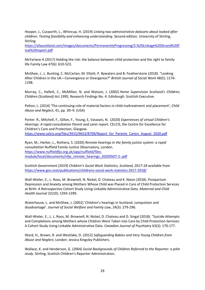Hooper, J., Cusworth, L., Whincup, H. (2019) *Linking two administrative datasets about looked after children: Testing feasibility and enhancing understanding*. Second edition. University of Stirling, Stirling.

[https://afascotland.com/images/documents/PermanentlyProgressing/3.%20Linkage%20Strand%20F](https://afascotland.com/images/documents/PermanentlyProgressing/3.%20Linkage%20Strand%20Final%20report.pdf) [inal%20report.pdf](https://afascotland.com/images/documents/PermanentlyProgressing/3.%20Linkage%20Strand%20Final%20report.pdf)

McFarlane A (2017) Holding the risk: the balance between child protection and the right to family life Family Law 47(6): 610-523.

McGhee, J., L. Bunting, C. McCartan, M. Elliott, P. Bywaters and B. Featherstone (2018). "Looking After Children in the UK—Convergence or Divergence?" *British Journal of Social Work* 48(5): 1176- 1198.

Murray, C., Hallett, C., McMillan, N. and Watson, J. (2002) *Home Supervision* Scotland's *Children, Children (Scotland) Act 1995*, Research Findings No. 4. Edinburgh: Scottish Executive.

Pelton, L. (2014) 'The continuing role of material factors in child maltreatment and placement', *Child Abuse and Neglect*, 41, pp. 30–9. (USA)

Porter. R., Mitchell, F., Gillon, F., Young, E, Vaswani, N. (2020) *Experiences of virtual Children's Hearings: A rapid consultation Parent and carer report*. CELCIS, the Centre for Excellence for Children's Care and Protection, Glasgow. [https://www.celcis.org/files/3915/9653/8709/Report\\_for\\_Parents\\_Carers\\_August\\_2020.pdf](https://www.celcis.org/files/3915/9653/8709/Report_for_Parents_Carers_August_2020.pdf)

Ryan, M., Harker, L., Rothera, S. (2020) *Remote hearings in the family justice system: a rapid consultation* Nuffield Family Justice Observatory, London. [https://www.nuffieldfjo.org.uk/app/nuffield/files](https://www.nuffieldfjo.org.uk/app/nuffield/files-module/local/documents/nfjo_remote_hearings_20200507-2-.pdf)[module/local/documents/nfjo\\_remote\\_hearings\\_20200507-2-.pdf](https://www.nuffieldfjo.org.uk/app/nuffield/files-module/local/documents/nfjo_remote_hearings_20200507-2-.pdf) 

Scottish Government (2019) *Children's Social Work Statistics, Scotland, 2017-18* available from <https://www.gov.scot/publications/childrens-social-work-statistics-2017-2018/>

Wall-Wieler, E., L. Roos, M. Brownell, N. Nickel, D. Chateau and K. Nixon (2018). Postpartum Depression and Anxiety among Mothers Whose Child was Placed in Care of Child Protection Services at Birth: A Retrospective Cohort Study Using Linkable Administrative Data. *Maternal and Child Health Journal* 22(10): 1393-1399.

Waterhouse, L. and McGhee, J. (2002) 'Children's hearings in Scotland: compulsion and disadvantage'. *Journal of Social Welfare and Family Law*, 24(3): 279-296.

Wall-Wieler, E., L. L. Roos, M. Brownell, N. Nickel, D. Chateau and D. Singal (2018). "Suicide Attempts and Completions among Mothers whose Children Were Taken into Care by Child Protection Services: A Cohort Study Using Linkable Administrative Data. *Canadian Journal of Psychiatry* 63(3): 170-177.

Ward, H., Brown, R. and Westlake, D. (2012) *Safeguarding Babies and Very Young Children from Abuse and Neglect,* London: Jessica Kingsley Publishers.

Wallace, K. and Henderson, G. (2004) *Social Backgrounds of Children Referred to the Reporter: a pilot study*. Stirling, Scottish Children's Reporter Administration.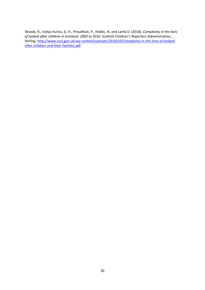Woods, R., Indiya Kurlus, G. H., Proudfoot, P., Hobbs, N. and Lamb D. (2018). *Complexity in the lives of looked after children in Scotland: 2003 to 2016*. Scottish Children's Reporters Administration, Stirling. [http://www.scra.gov.uk/wp-content/uploads/2018/03/Complexity-in-the-lives-of-looked](http://www.scra.gov.uk/wp-content/uploads/2018/03/Complexity-in-the-lives-of-looked-after-children-and-their-families.pdf)[after-children-and-their-families.pdf](http://www.scra.gov.uk/wp-content/uploads/2018/03/Complexity-in-the-lives-of-looked-after-children-and-their-families.pdf)